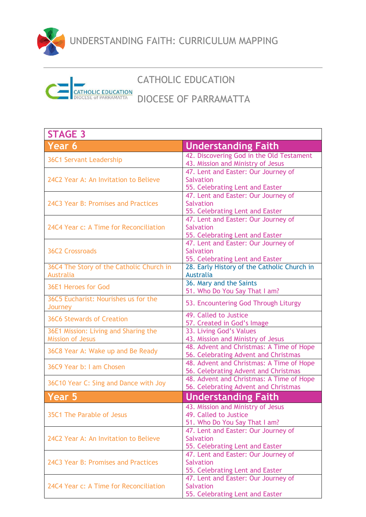

UNDERSTANDING FAITH: CURRICULUM MAPPING

## **ATHOLIC EDUCATION**<br>OCESE of PARRAMATTA

## CATHOLIC EDUCATION

## DIOCESE OF PARRAMATTA

| <b>STAGE 3</b>                                                  |                                                                                             |
|-----------------------------------------------------------------|---------------------------------------------------------------------------------------------|
| Year 6                                                          | <b>Understanding Faith</b>                                                                  |
| <b>36C1 Servant Leadership</b>                                  | 42. Discovering God in the Old Testament<br>43. Mission and Ministry of Jesus               |
| 24C2 Year A: An Invitation to Believe                           | 47. Lent and Easter: Our Journey of<br><b>Salvation</b><br>55. Celebrating Lent and Easter  |
| 24C3 Year B: Promises and Practices                             | 47. Lent and Easter: Our Journey of<br><b>Salvation</b><br>55. Celebrating Lent and Easter  |
| 24C4 Year c: A Time for Reconciliation                          | 47. Lent and Easter: Our Journey of<br><b>Salvation</b><br>55. Celebrating Lent and Easter  |
| <b>36C2 Crossroads</b>                                          | 47. Lent and Easter: Our Journey of<br><b>Salvation</b><br>55. Celebrating Lent and Easter  |
| 36C4 The Story of the Catholic Church in<br><b>Australia</b>    | 28. Early History of the Catholic Church in<br>Australia                                    |
| 36E1 Heroes for God                                             | 36. Mary and the Saints<br>51. Who Do You Say That I am?                                    |
| 36C5 Eucharist: Nourishes us for the<br>Journey                 | 53. Encountering God Through Liturgy                                                        |
| <b>36C6 Stewards of Creation</b>                                | 49. Called to Justice<br>57. Created in God's Image                                         |
| 36E1 Mission: Living and Sharing the<br><b>Mission of Jesus</b> | 33. Living God's Values<br>43. Mission and Ministry of Jesus                                |
| 36C8 Year A: Wake up and Be Ready                               | 48. Advent and Christmas: A Time of Hope<br>56. Celebrating Advent and Christmas            |
| 36C9 Year b: I am Chosen                                        | 48. Advent and Christmas: A Time of Hope<br>56. Celebrating Advent and Christmas            |
| 36C10 Year C: Sing and Dance with Joy                           | 48. Advent and Christmas: A Time of Hope<br>56. Celebrating Advent and Christmas            |
| Year 5                                                          | <b>Understanding Faith</b>                                                                  |
| 35C1 The Parable of Jesus                                       | 43. Mission and Ministry of Jesus<br>49. Called to Justice<br>51. Who Do You Say That I am? |
| 24C2 Year A: An Invitation to Believe                           | 47. Lent and Easter: Our Journey of<br><b>Salvation</b><br>55. Celebrating Lent and Easter  |
| 24C3 Year B: Promises and Practices                             | 47. Lent and Easter: Our Journey of<br><b>Salvation</b><br>55. Celebrating Lent and Easter  |
| 24C4 Year c: A Time for Reconciliation                          | 47. Lent and Easter: Our Journey of<br><b>Salvation</b><br>55. Celebrating Lent and Easter  |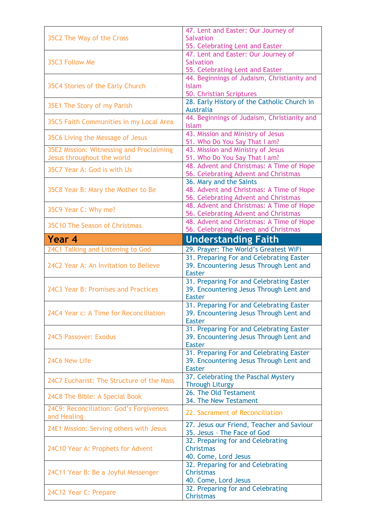|                                           | 47. Lent and Easter: Our Journey of                                                 |
|-------------------------------------------|-------------------------------------------------------------------------------------|
| 35C2 The Way of the Cross                 | <b>Salvation</b>                                                                    |
|                                           | 55. Celebrating Lent and Easter                                                     |
|                                           | 47. Lent and Easter: Our Journey of                                                 |
| 35C3 Follow Me                            | <b>Salvation</b><br>55. Celebrating Lent and Easter                                 |
|                                           | 44. Beginnings of Judaism, Christianity and                                         |
| 35C4 Stories of the Early Church          | <b>Islam</b>                                                                        |
|                                           | 50. Christian Scriptures                                                            |
|                                           | 28. Early History of the Catholic Church in                                         |
| 35E1 The Story of my Parish               | <b>Australia</b>                                                                    |
|                                           | 44. Beginnings of Judaism, Christianity and                                         |
| 35C5 Faith Communities in my Local Area   | <b>Islam</b>                                                                        |
| 35C6 Living the Message of Jesus          | 43. Mission and Ministry of Jesus                                                   |
|                                           | 51. Who Do You Say That I am?                                                       |
| 35E2 Mission: Witnessing and Proclaiming  | 43. Mission and Ministry of Jesus                                                   |
| Jesus throughout the world                | 51. Who Do You Say That I am?                                                       |
| 35C7 Year A: God is with Us               | 48. Advent and Christmas: A Time of Hope                                            |
|                                           | 56. Celebrating Advent and Christmas                                                |
|                                           | 36. Mary and the Saints                                                             |
| 35C8 Year B: Mary the Mother to Be        | 48. Advent and Christmas: A Time of Hope<br>56. Celebrating Advent and Christmas    |
|                                           | 48. Advent and Christmas: A Time of Hope                                            |
| 35C9 Year C: Why me?                      | 56. Celebrating Advent and Christmas                                                |
|                                           | 48. Advent and Christmas: A Time of Hope                                            |
| 35C10 The Season of Christmas             | 56. Celebrating Advent and Christmas                                                |
| Year 4                                    | <b>Understanding Faith</b>                                                          |
| 24C1 Talking and Listening to God         | 29. Prayer: The World's Greatest WiFi                                               |
|                                           | 31. Preparing For and Celebrating Easter                                            |
|                                           |                                                                                     |
|                                           |                                                                                     |
| 24C2 Year A: An Invitation to Believe     | 39. Encountering Jesus Through Lent and<br><b>Easter</b>                            |
|                                           |                                                                                     |
| 24C3 Year B: Promises and Practices       | 31. Preparing For and Celebrating Easter<br>39. Encountering Jesus Through Lent and |
|                                           | <b>Easter</b>                                                                       |
|                                           | 31. Preparing For and Celebrating Easter                                            |
| 24C4 Year c: A Time for Reconciliation    | 39. Encountering Jesus Through Lent and                                             |
|                                           | <b>Easter</b>                                                                       |
|                                           | 31. Preparing For and Celebrating Easter                                            |
| 24C5 Passover: Exodus                     | 39. Encountering Jesus Through Lent and                                             |
|                                           | <b>Easter</b>                                                                       |
|                                           | 31. Preparing For and Celebrating Easter                                            |
| 24C6 New Life                             | 39. Encountering Jesus Through Lent and                                             |
|                                           | <b>Easter</b>                                                                       |
| 24C7 Eucharist: The Structure of the Mass | 37. Celebrating the Paschal Mystery                                                 |
|                                           | <b>Through Liturgy</b><br>26. The Old Testament                                     |
| 24C8 The Bible: A Special Book            | 34. The New Testament                                                               |
| 24C9: Reconciliation: God's Forgiveness   |                                                                                     |
| and Healing                               | 22. Sacrament of Reconciliation                                                     |
|                                           | 27. Jesus our Friend, Teacher and Saviour                                           |
| 24E1 Mission: Serving others with Jesus   | 35. Jesus - The Face of God                                                         |
|                                           | 32. Preparing for and Celebrating                                                   |
| 24C10 Year A: Prophets for Advent         | <b>Christmas</b>                                                                    |
|                                           | 40. Come, Lord Jesus                                                                |
|                                           | 32. Preparing for and Celebrating                                                   |
| 24C11 Year B: Be a Joyful Messenger       | <b>Christmas</b>                                                                    |
| 24C12 Year C: Prepare                     | 40. Come, Lord Jesus<br>32. Preparing for and Celebrating                           |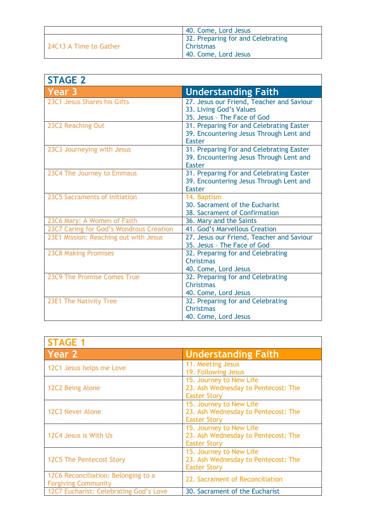|                        | 40. Come, Lord Jesus              |
|------------------------|-----------------------------------|
| 24C13 A Time to Gather | 32. Preparing for and Celebrating |
|                        | <b>Christmas</b>                  |
|                        | 40. Come, Lord Jesus              |

| <b>STAGE 2</b>                          |                                                          |
|-----------------------------------------|----------------------------------------------------------|
| Year 3                                  | <b>Understanding Faith</b>                               |
| 23C1 Jesus Shares his Gifts             | 27. Jesus our Friend, Teacher and Saviour                |
|                                         | 33. Living God's Values<br>35. Jesus - The Face of God   |
| 23C2 Reaching Out                       | 31. Preparing For and Celebrating Easter                 |
|                                         | 39. Encountering Jesus Through Lent and<br><b>Easter</b> |
| 23C3 Journeying with Jesus              | 31. Preparing For and Celebrating Easter                 |
|                                         | 39. Encountering Jesus Through Lent and<br><b>Easter</b> |
| 23C4 The Journey to Emmaus              | 31. Preparing For and Celebrating Easter                 |
|                                         | 39. Encountering Jesus Through Lent and<br><b>Easter</b> |
| 23C5 Sacraments of Initiation           | 14. Baptism                                              |
|                                         | 30. Sacrament of the Eucharist                           |
|                                         | 38. Sacrament of Confirmation                            |
| 23C6 Mary: A Women of Faith             | 36. Mary and the Saints                                  |
| 23C7 Caring for God's Wondrous Creation | 41. God's Marvellous Creation                            |
| 23E1 Mission: Reaching out with Jesus   | 27. Jesus our Friend, Teacher and Saviour                |
|                                         | 35. Jesus - The Face of God                              |
| <b>23C8 Making Promises</b>             | 32. Preparing for and Celebrating                        |
|                                         | <b>Christmas</b>                                         |
|                                         | 40. Come, Lord Jesus                                     |
| 23C9 The Promise Comes True             | 32. Preparing for and Celebrating                        |
|                                         | Christmas                                                |
|                                         | 40. Come, Lord Jesus                                     |
| 23E1 The Nativity Tree                  | 32. Preparing for and Celebrating                        |
|                                         | Christmas                                                |
|                                         | 40. Come, Lord Jesus                                     |

| <b>STAGE 1</b>                                                    |                                                                                       |
|-------------------------------------------------------------------|---------------------------------------------------------------------------------------|
| Year 2                                                            | <b>Understanding Faith</b>                                                            |
| 12C1 Jesus helps me Love                                          | 11. Meeting Jesus<br>19. Following Jesus                                              |
| 12C2 Being Alone                                                  | 15. Journey to New Life<br>23. Ash Wednesday to Pentecost: The<br><b>Easter Story</b> |
| 12C3 Never Alone                                                  | 15. Journey to New Life<br>23. Ash Wednesday to Pentecost: The<br><b>Easter Story</b> |
| 12C4 Jesus is With Us                                             | 15. Journey to New Life<br>23. Ash Wednesday to Pentecost: The<br><b>Easter Story</b> |
| 12C5 The Pentecost Story                                          | 15. Journey to New Life<br>23. Ash Wednesday to Pentecost: The<br><b>Easter Story</b> |
| 12C6 Reconciliation: Belonging to a<br><b>Forgiving Community</b> | 22. Sacrament of Reconciliation                                                       |
| 12C7 Eucharist: Celebrating God's Love                            | 30. Sacrament of the Eucharist                                                        |